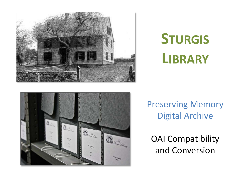

# **STURGIS LIBRARY**



OAI Compatibility and Conversion

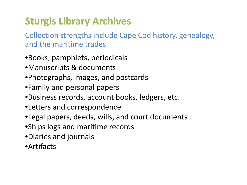## **Sturgis Library Archives**

Collection strengths include Cape Cod history, genealogy, and the maritime trades

- •Books, pamphlets, periodicals
- •Manuscripts & documents
- •Photographs, images, and postcards
- •Family and personal papers
- •Business records, account books, ledgers, etc.
- •Letters and correspondence
- •Legal papers, deeds, wills, and court documents
- •Ships logs and maritime records
- •Diaries and journals
- •Artifacts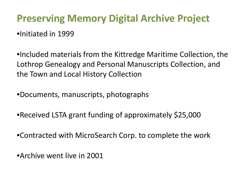### **Preserving Memory Digital Archive Project**

•Initiated in 1999

•Included materials from the Kittredge Maritime Collection, the Lothrop Genealogy and Personal Manuscripts Collection, and the Town and Local History Collection

•Documents, manuscripts, photographs

•Received LSTA grant funding of approximately \$25,000

•Contracted with MicroSearch Corp. to complete the work

•Archive went live in 2001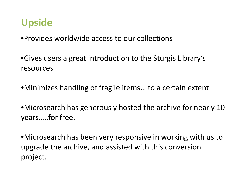#### **Upside**

•Provides worldwide access to our collections

•Gives users a great introduction to the Sturgis Library's resources

•Minimizes handling of fragile items… to a certain extent

•Microsearch has generously hosted the archive for nearly 10 years…..for free.

•Microsearch has been very responsive in working with us to upgrade the archive, and assisted with this conversion project.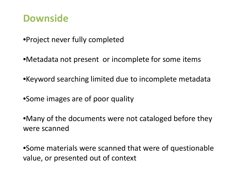#### **Downside**

- •Project never fully completed
- •Metadata not present or incomplete for some items
- •Keyword searching limited due to incomplete metadata
- •Some images are of poor quality
- •Many of the documents were not cataloged before they were scanned

•Some materials were scanned that were of questionable value, or presented out of context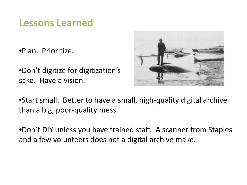#### **Lessons Learned**

•Plan. Prioritize.

•Don't digitize for digitization's sake. Have a vision.

![](_page_5_Picture_3.jpeg)

•Start small. Better to have a small, high-quality digital archive than a big, poor-quality mess.

•Don't DIY unless you have trained staff. A scanner from Staples and a few volunteers does not a digital archive make.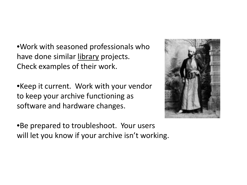•Work with seasoned professionals who have done similar library projects. Check examples of their work.

•Keep it current. Work with your vendor to keep your archive functioning as software and hardware changes.

•Be prepared to troubleshoot. Your users will let you know if your archive isn't working.

![](_page_6_Picture_3.jpeg)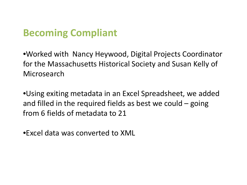#### **Becoming Compliant**

•Worked with Nancy Heywood, Digital Projects Coordinator for the Massachusetts Historical Society and Susan Kelly of Microsearch

•Using exiting metadata in an Excel Spreadsheet, we added and filled in the required fields as best we could – going from 6 fields of metadata to 21

•Excel data was converted to XML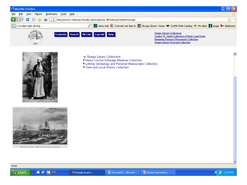![](_page_8_Picture_0.jpeg)

![](_page_8_Picture_1.jpeg)

THE SUPER (BOACH) FLEST OFF THE COAST OF BAWAII

- ← Sturgis Library Collections
- Henry Crocker Kittredge Maritime Collection
- ▶ Lothrop Genealogy and Personal Manuscripts Collection
- Town and Local History Collection

![](_page_8_Picture_9.jpeg)

![](_page_8_Picture_13.jpeg)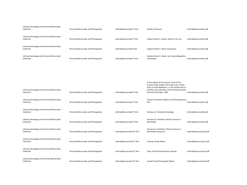| Lothrop Genealogy and Personal Manuscripts<br>Collection | Personal Manuscripts and Photographs | LothropManuscripts2*.htm  | <b>Brooks Enclosures</b>                                                                                                                                                                                            | LothropManuscripts2.pdf  |
|----------------------------------------------------------|--------------------------------------|---------------------------|---------------------------------------------------------------------------------------------------------------------------------------------------------------------------------------------------------------------|--------------------------|
| Lothrop Genealogy and Personal Manuscripts<br>Collection | Personal Manuscripts and Photographs | LothropManuscripts3*.htm  | Captain Daniel C. Bacon, letters to his son                                                                                                                                                                         | LothropManuscripts3.pdf  |
| Lothrop Genealogy and Personal Manuscripts<br>Collection | Personal Manuscripts and Photographs | LothropManuscripts4.htm   | Captian Daniel C. Bacon enclosures                                                                                                                                                                                  | LothropManuscripts4.pdf  |
| Lothrop Genealogy and Personal Manuscripts<br>Collection | Personal Manuscripts and Photographs | LothropManuscripts5*.htm  | Captian Daniel C. Bacon, by his granddaughter,<br>Julia Brown                                                                                                                                                       | LothropManuscripts5.pdf  |
|                                                          |                                      |                           |                                                                                                                                                                                                                     |                          |
|                                                          |                                      |                           |                                                                                                                                                                                                                     |                          |
| Lothrop Genealogy and Personal Manuscripts<br>Collection | Personal Manuscripts and Photographs | LothropManuscripts6*.htm  | A Description of the Eastern Coast of the<br>County of Barnstable from Cape Cod, or Race<br>Point to Cape Malebarre, or the Sandy Point of<br>Chatham, by a Member of the Humane Society<br>[Freeman] October, 1802 | LothropManuscripts6.pdf  |
| Lothrop Genealogy and Personal Manuscripts<br>Collection | Personal Manuscripts and Photographs | LothropManuscripts7*.htm  | Gustav A Hinckley Soldiers of the Revolutionary<br>War                                                                                                                                                              | LothropManuscripts7.pdf  |
| Lothrop Genealogy and Personal Manuscripts<br>Collection | Personal Manuscripts and Photographs | LothropManuscripts8*.htm  | Gustavus A. Hinckley Genealogy                                                                                                                                                                                      | LothropManuscripts8.pdf  |
| Lothrop Genealogy and Personal Manuscripts<br>Collection | Personal Manuscripts and Photographs | LothropManuscripts9*.htm  | Gustavus A. Hinckley's Historic Houses in<br>Barnstable                                                                                                                                                             | LothropManuscripts9.pdf  |
| Lothrop Genealogy and Personal Manuscripts<br>Collection | Personal Manuscripts and Photographs | LothropManuscripts10*.htm | Gustavus A. Hinckley's Historic Houses in<br>Barnstable enclosures                                                                                                                                                  | LothropManuscripts10.pdf |
| Lothrop Genealogy and Personal Manuscripts<br>Collection | Personal Manuscripts and Photographs | LothropManuscripts11*.htm | Lothrop Family Album                                                                                                                                                                                                | LothropManuscripts11.pdf |
| Lothrop Genealogy and Personal Manuscripts<br>Collection | Personal Manuscripts and Photographs | LothropManuscripts12*.htm | Diary of the Reverend John Lothrop                                                                                                                                                                                  | LothropManuscripts12.pdf |
| Lothrop Genealogy and Personal Manuscripts<br>Collection | Personal Manuscripts and Photographs | LothropManuscripts13*.htm | Lowell Family Photograph Album                                                                                                                                                                                      | LothropManuscripts13.pdf |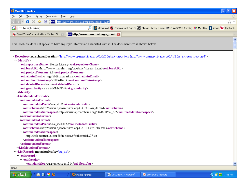| Mozilla Firefox                                                                                                                                            |  |
|------------------------------------------------------------------------------------------------------------------------------------------------------------|--|
| View History<br>Bookmarks Tools Help<br>File<br>Edit                                                                                                       |  |
|                                                                                                                                                            |  |
| $\boxed{\text{G}}$ - trouble night driving<br>The clams mail C Comcast net Sign In St Sturgis Library Home CLAMS Web Catalog 46Y My eBay Thage yo Abebooks |  |
| MHs http://www.mass/sturgis_1.xml <mark>-21</mark><br>C SmartZone Communications Center: Di                                                                |  |
|                                                                                                                                                            |  |

This XML file does not appear to have any style information associated with it. The document tree is shown below.

- <Repository xsi:schemaLocation="http://www.openarchives.org/OAI/2.0/static-repository http://www.openarchives.org/OAI/2.0/static-repository.xsd">

- $-$  <Identify>
	- <oai:repositoryName>Sturgis Library</oai:repositoryName>
	- <br />oai:baseURL>http://www.masshist.org/oai/static/sturgis\_1.xml</oai:baseURL>
	- <br />
	coai:protocolVersion>2.0</oai:protocolVersion>
	- <br />
	coai:adminEmail>sturgislib@comcast.net</oai:adminEmail>
	-
	- <oai:deletedRecord>no</oai:deletedRecord>
	-
- $\langle$  Identify>
- -<ListMetadataFormats>
	- $-$ <br/>oai: metadata<br/>Format>
		- <br />oai: metadataPrefix>oai\_dc</oai: metadataPrefix>
		- <br />oai:schema>http://www.openarchives.org/OAI/2.0/oai\_dc.xsd</oai:schema>
		- <oai:metadataNamespace>http://www.openarchives.org/OAI/2.0/oai\_dc/</oai:metadataNamespace>
	- </pai:metadataFormat>
	- $-$ <br/> $\le$ oai: metadata<br/>Format>
		- <oai:metadataPrefix>oai rfc1807</oai:metadataPrefix>
		- <oai:schema>http://www.openarchives.org/OAI/1.1/rfc1807.xsd</oai:schema>
		- < oai: metadataNamespace>
			- http://info.internet.isi.edu:80/in-notes/rfc/files/rfc1807.txt
		- </oai:metadataNamespace>
	- </pai:metadataFormat>
- </ListMetadataFormats>
- -<ListRecords metadataPrefix="oai\_dc">

自の阻じ

- <oai:record>
	- $-$  <oai: header>
		-

![](_page_10_Picture_30.jpeg)

![](_page_10_Picture_31.jpeg)

![](_page_10_Picture_35.jpeg)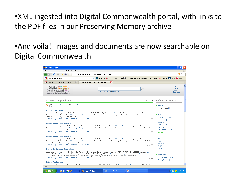•XML ingested into Digital Commonwealth portal, with links to the PDF files in our Preserving Memory archive

#### •And voila! Images and documents are now searchable on Digital Commonwealth

| Mozilla Firefox                                                                                                                                                                                                                                                |                                                                                                                                                                                                                                                                                                                                                                                                                                                                                                                                                                                                                                                                                                                                                                                                                                                                                                                                                                                                                                                                                                                                                                    | $ \mathbf{F}$                                                                                                                                                                                                            |
|----------------------------------------------------------------------------------------------------------------------------------------------------------------------------------------------------------------------------------------------------------------|--------------------------------------------------------------------------------------------------------------------------------------------------------------------------------------------------------------------------------------------------------------------------------------------------------------------------------------------------------------------------------------------------------------------------------------------------------------------------------------------------------------------------------------------------------------------------------------------------------------------------------------------------------------------------------------------------------------------------------------------------------------------------------------------------------------------------------------------------------------------------------------------------------------------------------------------------------------------------------------------------------------------------------------------------------------------------------------------------------------------------------------------------------------------|--------------------------------------------------------------------------------------------------------------------------------------------------------------------------------------------------------------------------|
| File<br>Edit<br>View<br>History                                                                                                                                                                                                                                | Bookmarks<br>Tools<br>Help                                                                                                                                                                                                                                                                                                                                                                                                                                                                                                                                                                                                                                                                                                                                                                                                                                                                                                                                                                                                                                                                                                                                         |                                                                                                                                                                                                                          |
| c                                                                                                                                                                                                                                                              | ₩,<br>http://digitalcommonwealth.org/browse/archive:Sturgis+Library/                                                                                                                                                                                                                                                                                                                                                                                                                                                                                                                                                                                                                                                                                                                                                                                                                                                                                                                                                                                                                                                                                               | <b>PI</b>                                                                                                                                                                                                                |
| G - digital commonwealth                                                                                                                                                                                                                                       | The clams mail (C Comcast.net Sign In Sti Sturgis Library Home CLAMS Web Catalog of My eBay Theage yo Abeboo                                                                                                                                                                                                                                                                                                                                                                                                                                                                                                                                                                                                                                                                                                                                                                                                                                                                                                                                                                                                                                                       |                                                                                                                                                                                                                          |
| C SmartZone Communications Center: La                                                                                                                                                                                                                          | http://digitalcoSturgis+Library/23                                                                                                                                                                                                                                                                                                                                                                                                                                                                                                                                                                                                                                                                                                                                                                                                                                                                                                                                                                                                                                                                                                                                 |                                                                                                                                                                                                                          |
| Digital <b>Hilli</b><br>Commonwealth ::::<br><b>Massachusetts Collections Online</b>                                                                                                                                                                           | ٥<br>Advanced Search   Browse Subjects                                                                                                                                                                                                                                                                                                                                                                                                                                                                                                                                                                                                                                                                                                                                                                                                                                                                                                                                                                                                                                                                                                                             | Login<br>Register<br><b>About</b><br><b>Bookmarks</b>                                                                                                                                                                    |
| archive: Sturgis Library                                                                                                                                                                                                                                       | 0-15 of 15                                                                                                                                                                                                                                                                                                                                                                                                                                                                                                                                                                                                                                                                                                                                                                                                                                                                                                                                                                                                                                                                                                                                                         | Refine Your Search                                                                                                                                                                                                       |
| Sort<br>By:<br>F.<br><b>Recent</b> ▼                                                                                                                                                                                                                           | Display As: Long ▼                                                                                                                                                                                                                                                                                                                                                                                                                                                                                                                                                                                                                                                                                                                                                                                                                                                                                                                                                                                                                                                                                                                                                 | <b>ARCHIVE</b><br>Sturgis Library <sup>X</sup>                                                                                                                                                                           |
| <b>Rev. John Lothrop's Baptism</b><br>Manuscripts and Photographs, format-pdf<br><b>Lowell Family Photograph Album</b><br>Manuscripts and Photographs, format-pdf<br><b>Lowell Family Photograph Album</b><br>Personal Manuscripts and Photographs. format-pdf | description-An image of John Lothrop's baptismal record circa 1584, MS, 81, subject- Lothrop, John -- 1584-1683, rights- Credit Sturgis Library<br>Archives date-1584 publisher- Microsearch for Sturgis Library relation-Part of Lothrop Genealogy and Personal Manuscripts Collection, Personal<br>Archive: Sturgis Library   View Document   Add bookmark<br>Image $\square$<br>description-Photographs of the Lowell family of Massachuetts, circa 1867. MS. 44 subject-Lowell family -- Photographs. rights-Credit Sturgis Library<br>Archives publisher- Microsearch for Sturgis Library relation-Ralph Lowell, Part of Lothrop Genealogy and Personal Manuscripts Collection, Personal<br>Archive: Sturgis Library   View Document   Add bookmark<br>Image $\square$<br>description-Photographs of the Lowell family of Massachuetts, circa 1867. MS. 44 subject- Lowell family -- Photographs. rights- Credit Sturgis Library<br>Archives date-1867 publisher- Microsearch for Sturgis Library relation-Ralph Lowell. Part of Lothrop Genealogy and Personal Manuscripts Collection,<br>Archive: Sturgis Library   View Document   Add bookmark<br>Image L | <b>SUBJECT</b><br>Massachusetts (7)<br>Cape Cod (5)<br>Photographs (3)<br>Clipper Ships (2)<br>Harwich (2)<br>Historic Buildings (2)<br>4 more<br>$\blacksquare$ TYPE<br>Text (10)<br>Image(5)<br>And (2)<br>$images(2)$ |
| Diary of the Reverend John Lothrop<br><b>Lothrop Family Album</b><br>Done                                                                                                                                                                                      | description- A transcription of the diary of the Reverend John Lothrop of Barnstable, Massachusetts. VAULT LOTHROP REF B LOT LOT subject- Lothrop<br>John--1584-1683--Diaries. rights- Credit Sturgis Library Archives date-1634 publisher- Microsearch for Sturgis Library creator- Lothrop,<br>John. relation-Part of Lothrop Genealogy and Personal Manuscripts Collection, Personal Manuscripts and Photographs. format-pdf<br>Archive: Sturgis Library   View Document   Add bookmark<br>Text $\Box$<br>deperintion. Dhotographs of the family of Mary Ruckminster Lothron, circa 1980-1990, MS, 36 exhieved. Lothron family<br>Photographe righte Cradit                                                                                                                                                                                                                                                                                                                                                                                                                                                                                                     | <b>E</b> CREATOR<br>Hinckley, Gustavus (3)<br>Bacon, Daniel. (2)                                                                                                                                                         |
| <b>ACAU</b><br><b>H</b> start                                                                                                                                                                                                                                  | Document1 - Microsof<br>Mozilla Firefox<br>preserving memory                                                                                                                                                                                                                                                                                                                                                                                                                                                                                                                                                                                                                                                                                                                                                                                                                                                                                                                                                                                                                                                                                                       | <b>◆ 象 → 2:03 PM</b>                                                                                                                                                                                                     |
|                                                                                                                                                                                                                                                                |                                                                                                                                                                                                                                                                                                                                                                                                                                                                                                                                                                                                                                                                                                                                                                                                                                                                                                                                                                                                                                                                                                                                                                    |                                                                                                                                                                                                                          |